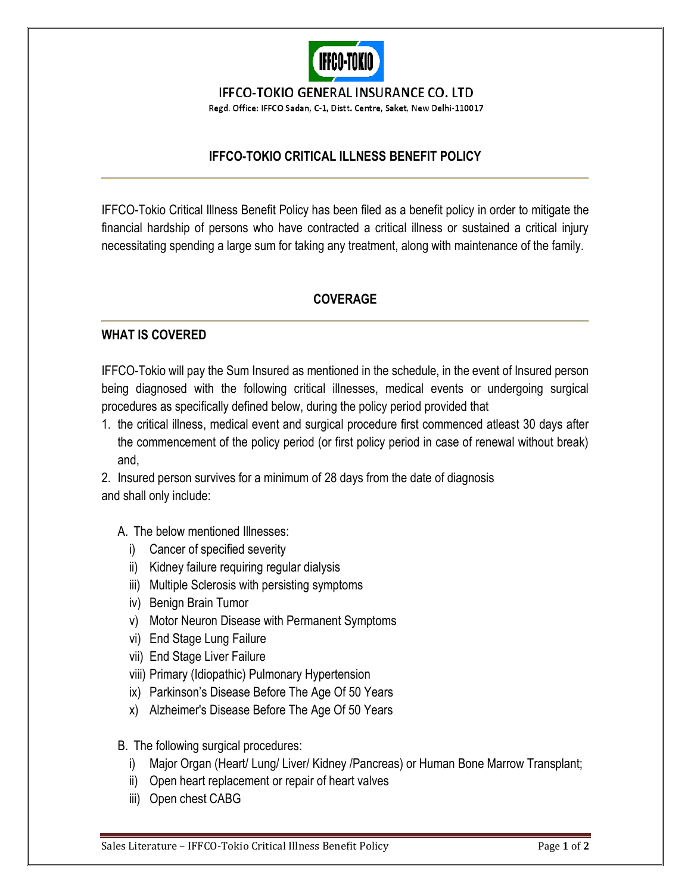

**IFFCO-TOKIO GENERAL INSURANCE CO. LTD** 

Regd. Office: IFFCO Sadan, C-1, Distt. Centre, Saket, New Delhi-110017

## **IFFCO-TOKIO CRITICAL ILLNESS BENEFIT POLICY**

IFFCO-Tokio Critical Illness Benefit Policy has been filed as a benefit policy in order to mitigate the financial hardship of persons who have contracted a critical illness or sustained a critical injury necessitating spending a large sum for taking any treatment, along with maintenance of the family.

## **COVERAGE**

## **WHAT IS COVERED**

IFFCO-Tokio will pay the Sum Insured as mentioned in the schedule, in the event of Insured person being diagnosed with the following critical illnesses, medical events or undergoing surgical procedures as specifically defined below, during the policy period provided that

1. the critical illness, medical event and surgical procedure first commenced atleast 30 days after the commencement of the policy period (or first policy period in case of renewal without break) and,

2. Insured person survives for a minimum of 28 days from the date of diagnosis and shall only include:

A. The below mentioned Illnesses:

- i) Cancer of specified severity
- ii) Kidney failure requiring regular dialysis
- iii) Multiple Sclerosis with persisting symptoms
- iv) Benign Brain Tumor
- v) Motor Neuron Disease with Permanent Symptoms
- vi) End Stage Lung Failure
- vii) End Stage Liver Failure
- viii) Primary (Idiopathic) Pulmonary Hypertension
- ix) Parkinson's Disease Before The Age Of 50 Years
- x) Alzheimer's Disease Before The Age Of 50 Years
- B. The following surgical procedures:
	- i) Major Organ (Heart/ Lung/ Liver/ Kidney /Pancreas) or Human Bone Marrow Transplant;
	- ii) Open heart replacement or repair of heart valves
	- iii) Open chest CABG